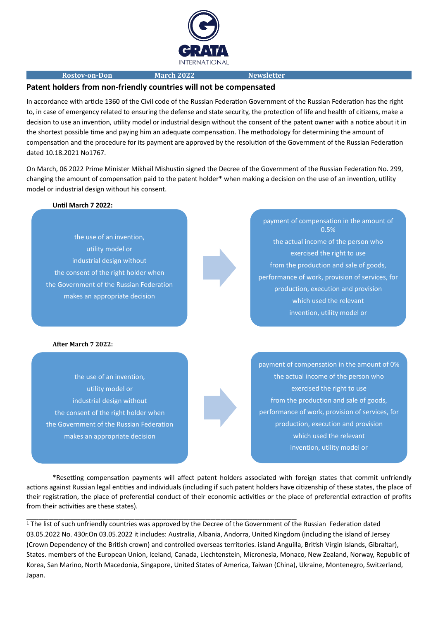

#### **Rostov-on-Don March 2022 Newsletter**

### **Patent holders from non-friendly countries will not be compensated**

In accordance with article 1360 of the Civil code of the Russian Federation Government of the Russian Federation has the right to, in case of emergency related to ensuring the defense and state security, the protection of life and health of citizens, make a decision to use an invention, utility model or industrial design without the consent of the patent owner with a notice about it in the shortest possible time and paying him an adequate compensation. The methodology for determining the amount of compensation and the procedure for its payment are approved by the resolution of the Government of the Russian Federation dated 10.18.2021 No1767.

On March, 06 2022 Prime Minister Mikhail Mishustin signed the Decree of the Government of the Russian Federation No. 299, changing the amount of compensation paid to the patent holder\* when making a decision on the use of an invention, utility model or industrial design without his consent.

### **Until March 7 2022:**

the use of an invention, utility model or industrial design without the consent of the right holder when the Government of the Russian Federation makes an appropriate decision

# payment of compensation in the amount of 0.5% the actual income of the person who exercised the right to use from the production and sale of goods, performance of work, provision of services, for production, execution and provision which used the relevant invention, utility model or

#### **After March 7 2022:**

the use of an invention, utility model or industrial design without the consent of the right holder when the Government of the Russian Federation makes an appropriate decision

payment of compensation in the amount of 0% the actual income of the person who exercised the right to use from the production and sale of goods, performance of work, provision of services, for production, execution and provision which used the relevant invention, utility model or

\*Resetting compensation payments will affect patent holders associated with foreign states that commit unfriendly actions against Russian legal entities and individuals (including if such patent holders have citizenship of these states, the place of their registration, the place of preferential conduct of their economic activities or the place of preferential extraction of profits from their activities are these states).

\_\_\_\_\_\_\_\_\_\_\_\_\_\_\_\_\_\_\_\_\_\_\_\_\_\_\_\_\_\_\_\_\_\_\_\_\_\_\_\_\_\_\_\_\_\_\_\_\_\_\_\_\_\_\_\_\_\_\_\_\_\_\_\_\_\_\_\_\_\_\_\_\_\_\_\_\_\_\_\_\_\_\_\_\_\_\_\_\_\_\_\_\_\_\_\_\_\_\_\_\_\_\_\_\_\_\_\_\_\_

1 The list of such unfriendly countries was approved by the Decree of the Government of the Russian Federation dated 03.05.2022 No. 430r.On 03.05.2022 it includes: Australia, Albania, Andorra, United Kingdom (including the island of Jersey (Crown Dependency of the British crown) and controlled overseas territories. island Anguilla, British Virgin Islands, Gibraltar), States. members of the European Union, Iceland, Canada, Liechtenstein, Micronesia, Monaco, New Zealand, Norway, Republic of Korea, San Marino, North Macedonia, Singapore, United States of America, Taiwan (China), Ukraine, Montenegro, Switzerland, Japan.